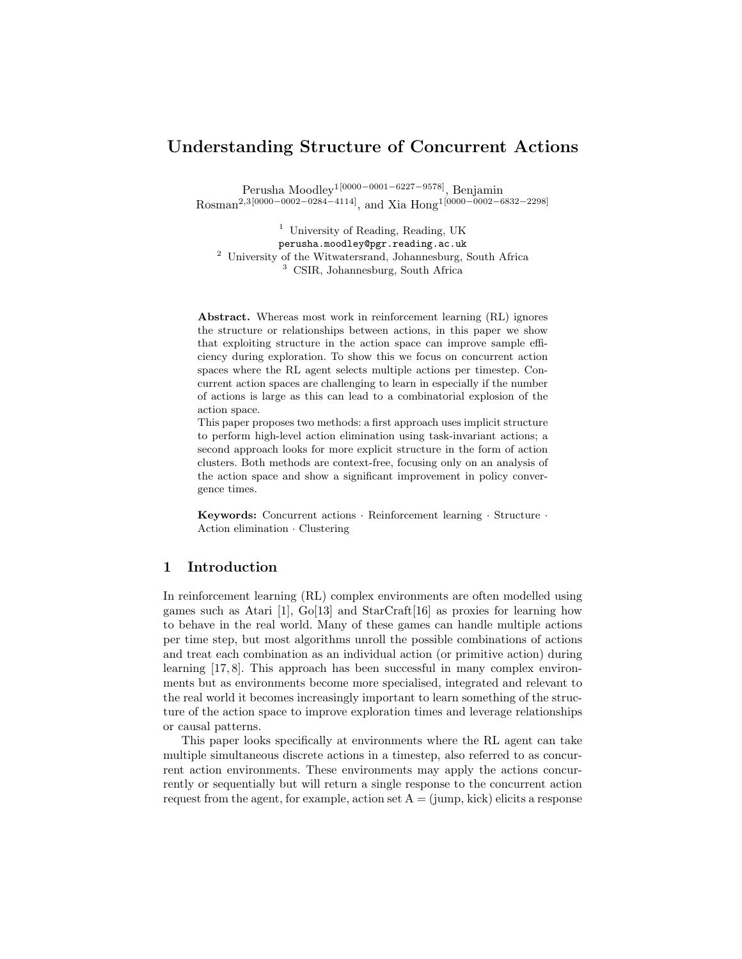# Understanding Structure of Concurrent Actions

Perusha Moodley1[0000−0001−6227−9578], Benjamin  $Rosman<sup>2,3[0000-0002-0284-4114],</sup>$  and Xia Hong<sup>1[0000–0002–6832–2298]</sup>

 $^{\rm 1}$  University of Reading, Reading, UK perusha.moodley@pgr.reading.ac.uk <sup>2</sup> University of the Witwatersrand, Johannesburg, South Africa <sup>3</sup> CSIR, Johannesburg, South Africa

Abstract. Whereas most work in reinforcement learning (RL) ignores the structure or relationships between actions, in this paper we show that exploiting structure in the action space can improve sample efficiency during exploration. To show this we focus on concurrent action spaces where the RL agent selects multiple actions per timestep. Concurrent action spaces are challenging to learn in especially if the number of actions is large as this can lead to a combinatorial explosion of the action space.

This paper proposes two methods: a first approach uses implicit structure to perform high-level action elimination using task-invariant actions; a second approach looks for more explicit structure in the form of action clusters. Both methods are context-free, focusing only on an analysis of the action space and show a significant improvement in policy convergence times.

Keywords: Concurrent actions · Reinforcement learning · Structure · Action elimination · Clustering

#### 1 Introduction

In reinforcement learning (RL) complex environments are often modelled using games such as Atari [1],  $Go[13]$  and  $StarCraff[16]$  as proxies for learning how to behave in the real world. Many of these games can handle multiple actions per time step, but most algorithms unroll the possible combinations of actions and treat each combination as an individual action (or primitive action) during learning [17, 8]. This approach has been successful in many complex environments but as environments become more specialised, integrated and relevant to the real world it becomes increasingly important to learn something of the structure of the action space to improve exploration times and leverage relationships or causal patterns.

This paper looks specifically at environments where the RL agent can take multiple simultaneous discrete actions in a timestep, also referred to as concurrent action environments. These environments may apply the actions concurrently or sequentially but will return a single response to the concurrent action request from the agent, for example, action set  $A = (jump, kick)$  elicits a response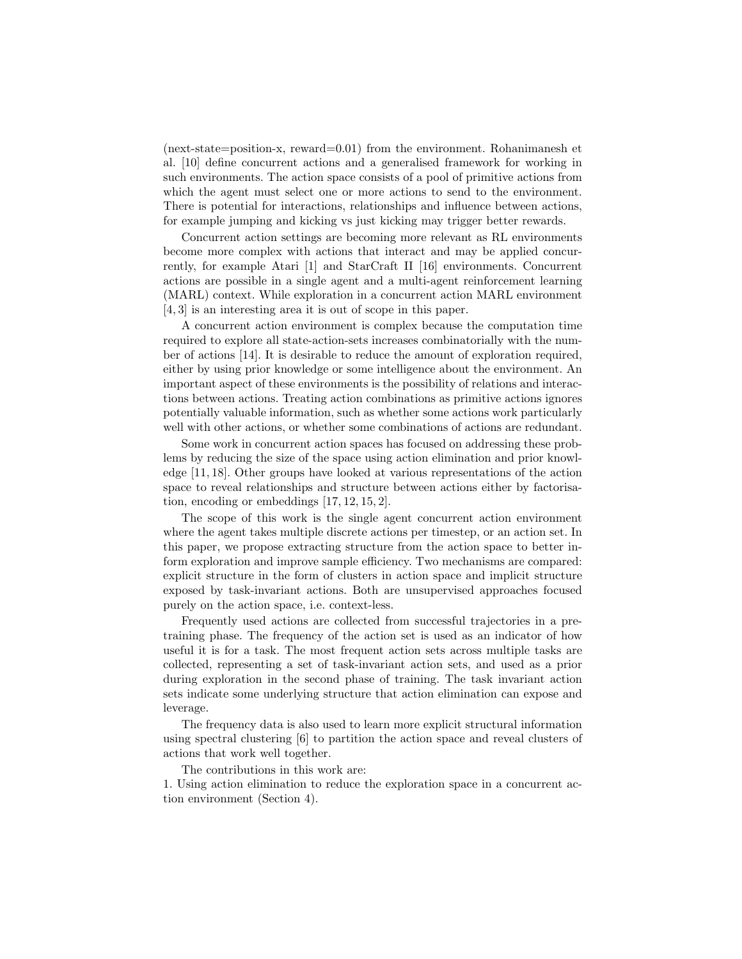(next-state=position-x, reward=0.01) from the environment. Rohanimanesh et al. [10] define concurrent actions and a generalised framework for working in such environments. The action space consists of a pool of primitive actions from which the agent must select one or more actions to send to the environment. There is potential for interactions, relationships and influence between actions, for example jumping and kicking vs just kicking may trigger better rewards.

Concurrent action settings are becoming more relevant as RL environments become more complex with actions that interact and may be applied concurrently, for example Atari [1] and StarCraft II [16] environments. Concurrent actions are possible in a single agent and a multi-agent reinforcement learning (MARL) context. While exploration in a concurrent action MARL environment [4, 3] is an interesting area it is out of scope in this paper.

A concurrent action environment is complex because the computation time required to explore all state-action-sets increases combinatorially with the number of actions [14]. It is desirable to reduce the amount of exploration required, either by using prior knowledge or some intelligence about the environment. An important aspect of these environments is the possibility of relations and interactions between actions. Treating action combinations as primitive actions ignores potentially valuable information, such as whether some actions work particularly well with other actions, or whether some combinations of actions are redundant.

Some work in concurrent action spaces has focused on addressing these problems by reducing the size of the space using action elimination and prior knowledge [11, 18]. Other groups have looked at various representations of the action space to reveal relationships and structure between actions either by factorisation, encoding or embeddings [17, 12, 15, 2].

The scope of this work is the single agent concurrent action environment where the agent takes multiple discrete actions per timestep, or an action set. In this paper, we propose extracting structure from the action space to better inform exploration and improve sample efficiency. Two mechanisms are compared: explicit structure in the form of clusters in action space and implicit structure exposed by task-invariant actions. Both are unsupervised approaches focused purely on the action space, i.e. context-less.

Frequently used actions are collected from successful trajectories in a pretraining phase. The frequency of the action set is used as an indicator of how useful it is for a task. The most frequent action sets across multiple tasks are collected, representing a set of task-invariant action sets, and used as a prior during exploration in the second phase of training. The task invariant action sets indicate some underlying structure that action elimination can expose and leverage.

The frequency data is also used to learn more explicit structural information using spectral clustering [6] to partition the action space and reveal clusters of actions that work well together.

The contributions in this work are:

1. Using action elimination to reduce the exploration space in a concurrent action environment (Section 4).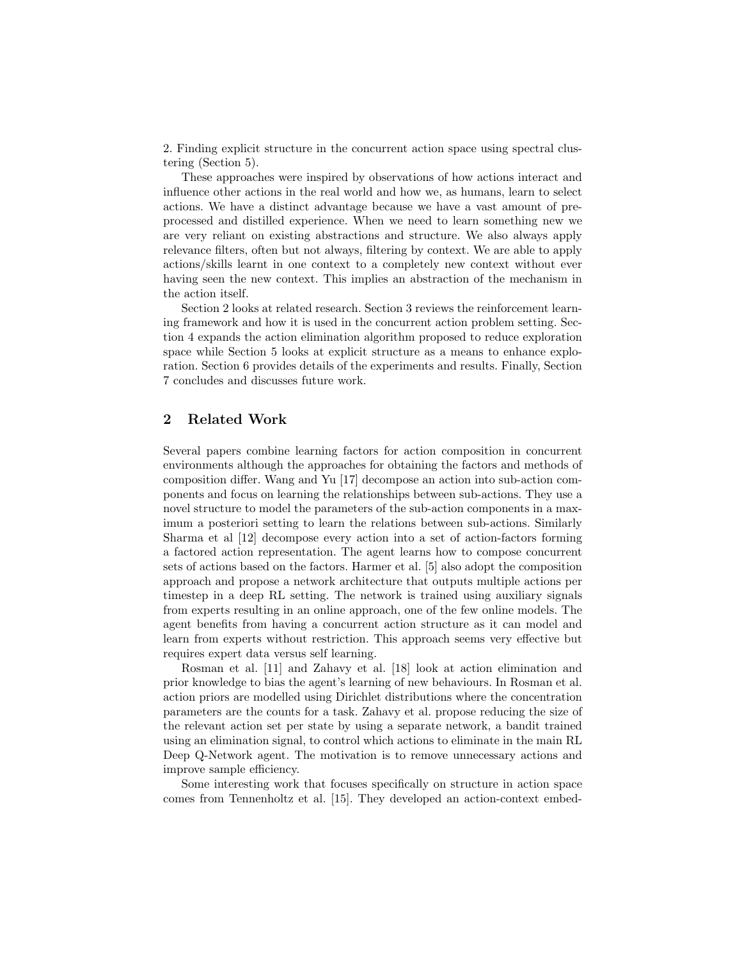2. Finding explicit structure in the concurrent action space using spectral clustering (Section 5).

These approaches were inspired by observations of how actions interact and influence other actions in the real world and how we, as humans, learn to select actions. We have a distinct advantage because we have a vast amount of preprocessed and distilled experience. When we need to learn something new we are very reliant on existing abstractions and structure. We also always apply relevance filters, often but not always, filtering by context. We are able to apply actions/skills learnt in one context to a completely new context without ever having seen the new context. This implies an abstraction of the mechanism in the action itself.

Section 2 looks at related research. Section 3 reviews the reinforcement learning framework and how it is used in the concurrent action problem setting. Section 4 expands the action elimination algorithm proposed to reduce exploration space while Section 5 looks at explicit structure as a means to enhance exploration. Section 6 provides details of the experiments and results. Finally, Section 7 concludes and discusses future work.

#### 2 Related Work

Several papers combine learning factors for action composition in concurrent environments although the approaches for obtaining the factors and methods of composition differ. Wang and Yu [17] decompose an action into sub-action components and focus on learning the relationships between sub-actions. They use a novel structure to model the parameters of the sub-action components in a maximum a posteriori setting to learn the relations between sub-actions. Similarly Sharma et al [12] decompose every action into a set of action-factors forming a factored action representation. The agent learns how to compose concurrent sets of actions based on the factors. Harmer et al. [5] also adopt the composition approach and propose a network architecture that outputs multiple actions per timestep in a deep RL setting. The network is trained using auxiliary signals from experts resulting in an online approach, one of the few online models. The agent benefits from having a concurrent action structure as it can model and learn from experts without restriction. This approach seems very effective but requires expert data versus self learning.

Rosman et al. [11] and Zahavy et al. [18] look at action elimination and prior knowledge to bias the agent's learning of new behaviours. In Rosman et al. action priors are modelled using Dirichlet distributions where the concentration parameters are the counts for a task. Zahavy et al. propose reducing the size of the relevant action set per state by using a separate network, a bandit trained using an elimination signal, to control which actions to eliminate in the main RL Deep Q-Network agent. The motivation is to remove unnecessary actions and improve sample efficiency.

Some interesting work that focuses specifically on structure in action space comes from Tennenholtz et al. [15]. They developed an action-context embed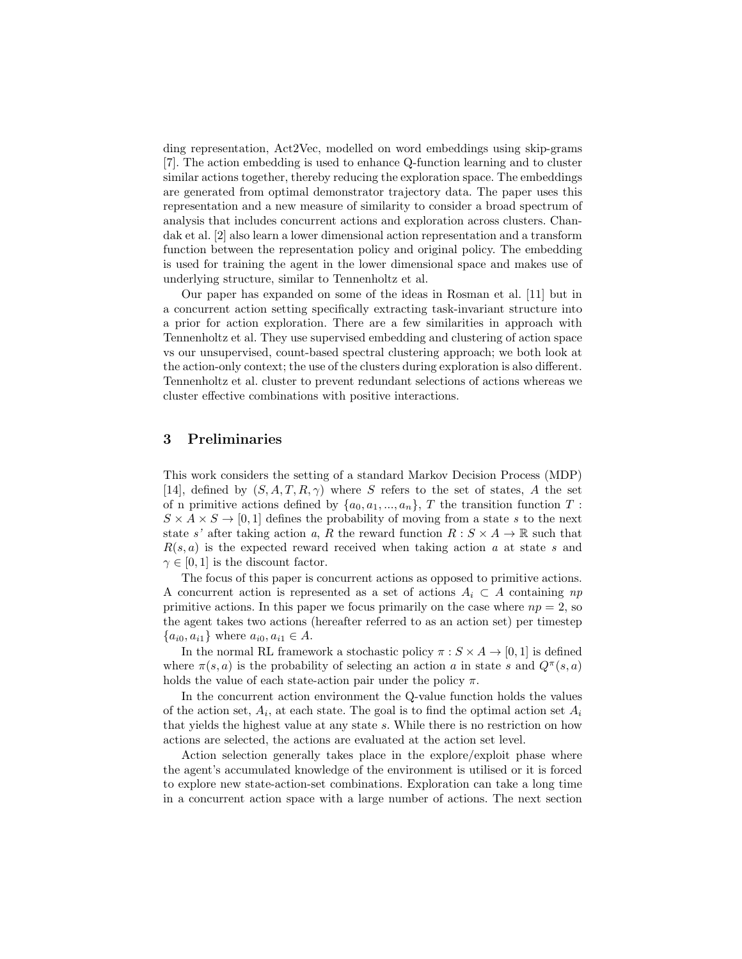ding representation, Act2Vec, modelled on word embeddings using skip-grams [7]. The action embedding is used to enhance Q-function learning and to cluster similar actions together, thereby reducing the exploration space. The embeddings are generated from optimal demonstrator trajectory data. The paper uses this representation and a new measure of similarity to consider a broad spectrum of analysis that includes concurrent actions and exploration across clusters. Chandak et al. [2] also learn a lower dimensional action representation and a transform function between the representation policy and original policy. The embedding is used for training the agent in the lower dimensional space and makes use of underlying structure, similar to Tennenholtz et al.

Our paper has expanded on some of the ideas in Rosman et al. [11] but in a concurrent action setting specifically extracting task-invariant structure into a prior for action exploration. There are a few similarities in approach with Tennenholtz et al. They use supervised embedding and clustering of action space vs our unsupervised, count-based spectral clustering approach; we both look at the action-only context; the use of the clusters during exploration is also different. Tennenholtz et al. cluster to prevent redundant selections of actions whereas we cluster effective combinations with positive interactions.

### 3 Preliminaries

This work considers the setting of a standard Markov Decision Process (MDP) [14], defined by  $(S, A, T, R, \gamma)$  where S refers to the set of states, A the set of n primitive actions defined by  $\{a_0, a_1, ..., a_n\}$ , T the transition function T:  $S \times A \times S \rightarrow [0, 1]$  defines the probability of moving from a state s to the next state s' after taking action a, R the reward function  $R : S \times A \rightarrow \mathbb{R}$  such that  $R(s, a)$  is the expected reward received when taking action a at state s and  $\gamma \in [0, 1]$  is the discount factor.

The focus of this paper is concurrent actions as opposed to primitive actions. A concurrent action is represented as a set of actions  $A_i \subset A$  containing np primitive actions. In this paper we focus primarily on the case where  $np = 2$ , so the agent takes two actions (hereafter referred to as an action set) per timestep  ${a_{i0}, a_{i1}}$  where  $a_{i0}, a_{i1} \in A$ .

In the normal RL framework a stochastic policy  $\pi : S \times A \rightarrow [0, 1]$  is defined where  $\pi(s, a)$  is the probability of selecting an action a in state s and  $Q^{\pi}(s, a)$ holds the value of each state-action pair under the policy  $\pi$ .

In the concurrent action environment the Q-value function holds the values of the action set,  $A_i$ , at each state. The goal is to find the optimal action set  $A_i$ that yields the highest value at any state s. While there is no restriction on how actions are selected, the actions are evaluated at the action set level.

Action selection generally takes place in the explore/exploit phase where the agent's accumulated knowledge of the environment is utilised or it is forced to explore new state-action-set combinations. Exploration can take a long time in a concurrent action space with a large number of actions. The next section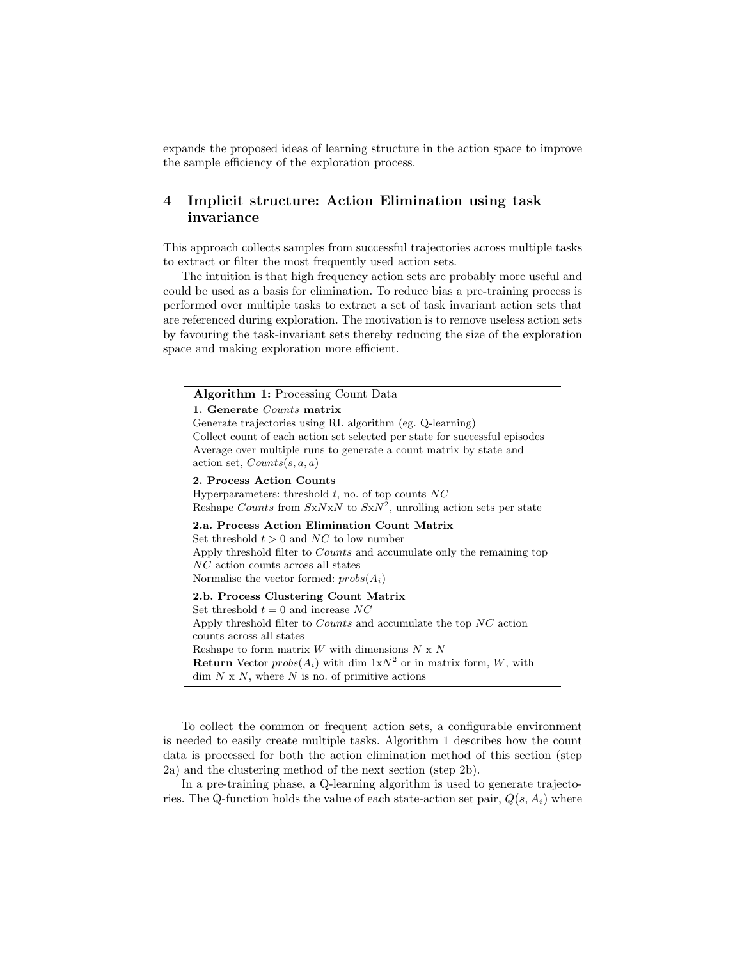expands the proposed ideas of learning structure in the action space to improve the sample efficiency of the exploration process.

## 4 Implicit structure: Action Elimination using task invariance

This approach collects samples from successful trajectories across multiple tasks to extract or filter the most frequently used action sets.

The intuition is that high frequency action sets are probably more useful and could be used as a basis for elimination. To reduce bias a pre-training process is performed over multiple tasks to extract a set of task invariant action sets that are referenced during exploration. The motivation is to remove useless action sets by favouring the task-invariant sets thereby reducing the size of the exploration space and making exploration more efficient.

| Algorithm 1: Processing Count Data                                                                                                                                                                                                                                                                                                                                                         |  |
|--------------------------------------------------------------------------------------------------------------------------------------------------------------------------------------------------------------------------------------------------------------------------------------------------------------------------------------------------------------------------------------------|--|
| 1. Generate Counts matrix<br>Generate trajectories using RL algorithm (eg. Q-learning)<br>Collect count of each action set selected per state for successful episodes<br>Average over multiple runs to generate a count matrix by state and<br>action set, Counts(s, a, a)                                                                                                                 |  |
| 2. Process Action Counts<br>Hyperparameters: threshold $t$ , no. of top counts NC<br>Reshape Counts from $SxNxN$ to $SxN^2$ , unrolling action sets per state                                                                                                                                                                                                                              |  |
| 2.a. Process Action Elimination Count Matrix<br>Set threshold $t > 0$ and NC to low number<br>Apply threshold filter to <i>Counts</i> and accumulate only the remaining top<br>NC action counts across all states<br>Normalise the vector formed: $probs(A_i)$                                                                                                                             |  |
| 2.b. Process Clustering Count Matrix<br>Set threshold $t=0$ and increase NC<br>Apply threshold filter to <i>Counts</i> and accumulate the top $NC$ action<br>counts across all states<br>Reshape to form matrix W with dimensions $N \times N$<br><b>Return</b> Vector $probs(A_i)$ with dim $1xN^2$ or in matrix form, W, with<br>$\dim N \times N$ , where N is no. of primitive actions |  |
|                                                                                                                                                                                                                                                                                                                                                                                            |  |

To collect the common or frequent action sets, a configurable environment is needed to easily create multiple tasks. Algorithm 1 describes how the count data is processed for both the action elimination method of this section (step 2a) and the clustering method of the next section (step 2b).

In a pre-training phase, a Q-learning algorithm is used to generate trajectories. The Q-function holds the value of each state-action set pair,  $Q(s, A_i)$  where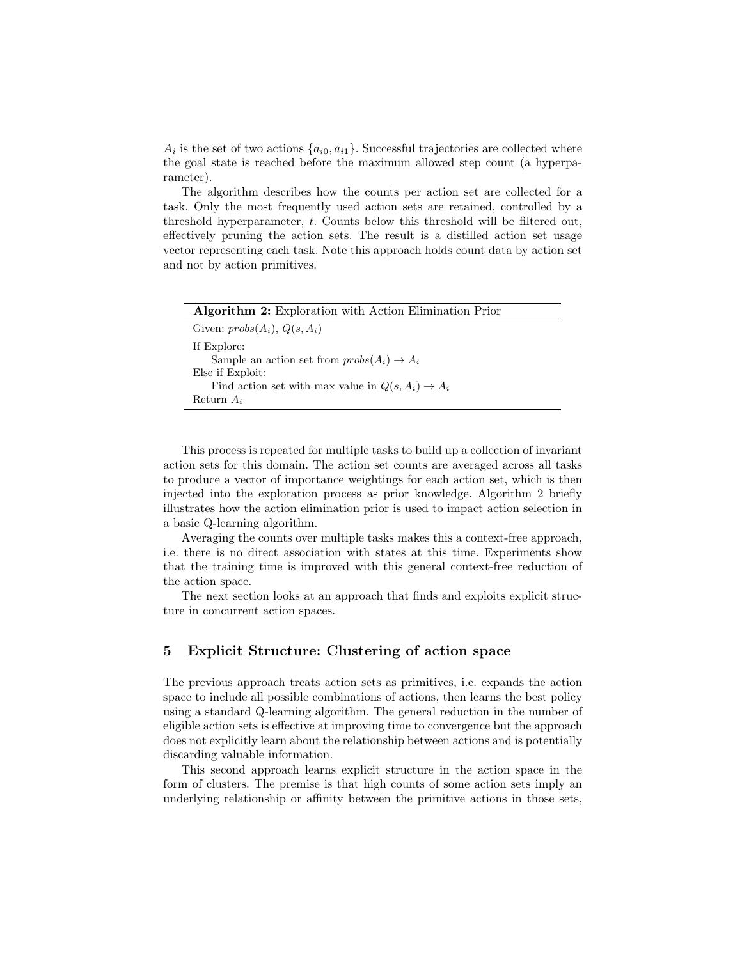$A_i$  is the set of two actions  $\{a_{i0}, a_{i1}\}$ . Successful trajectories are collected where the goal state is reached before the maximum allowed step count (a hyperparameter).

The algorithm describes how the counts per action set are collected for a task. Only the most frequently used action sets are retained, controlled by a threshold hyperparameter, t. Counts below this threshold will be filtered out, effectively pruning the action sets. The result is a distilled action set usage vector representing each task. Note this approach holds count data by action set and not by action primitives.

| <b>Algorithm 2:</b> Exploration with Action Elimination Prior                                                                                      |
|----------------------------------------------------------------------------------------------------------------------------------------------------|
| Given: $probs(A_i)$ , $Q(s, A_i)$                                                                                                                  |
| If Explore:<br>Sample an action set from $probs(A_i) \rightarrow A_i$<br>Else if Exploit:<br>Find action set with max value in $Q(s, A_i) \to A_i$ |
| Return $A_i$                                                                                                                                       |

This process is repeated for multiple tasks to build up a collection of invariant action sets for this domain. The action set counts are averaged across all tasks to produce a vector of importance weightings for each action set, which is then injected into the exploration process as prior knowledge. Algorithm 2 briefly illustrates how the action elimination prior is used to impact action selection in a basic Q-learning algorithm.

Averaging the counts over multiple tasks makes this a context-free approach, i.e. there is no direct association with states at this time. Experiments show that the training time is improved with this general context-free reduction of the action space.

The next section looks at an approach that finds and exploits explicit structure in concurrent action spaces.

### 5 Explicit Structure: Clustering of action space

The previous approach treats action sets as primitives, i.e. expands the action space to include all possible combinations of actions, then learns the best policy using a standard Q-learning algorithm. The general reduction in the number of eligible action sets is effective at improving time to convergence but the approach does not explicitly learn about the relationship between actions and is potentially discarding valuable information.

This second approach learns explicit structure in the action space in the form of clusters. The premise is that high counts of some action sets imply an underlying relationship or affinity between the primitive actions in those sets,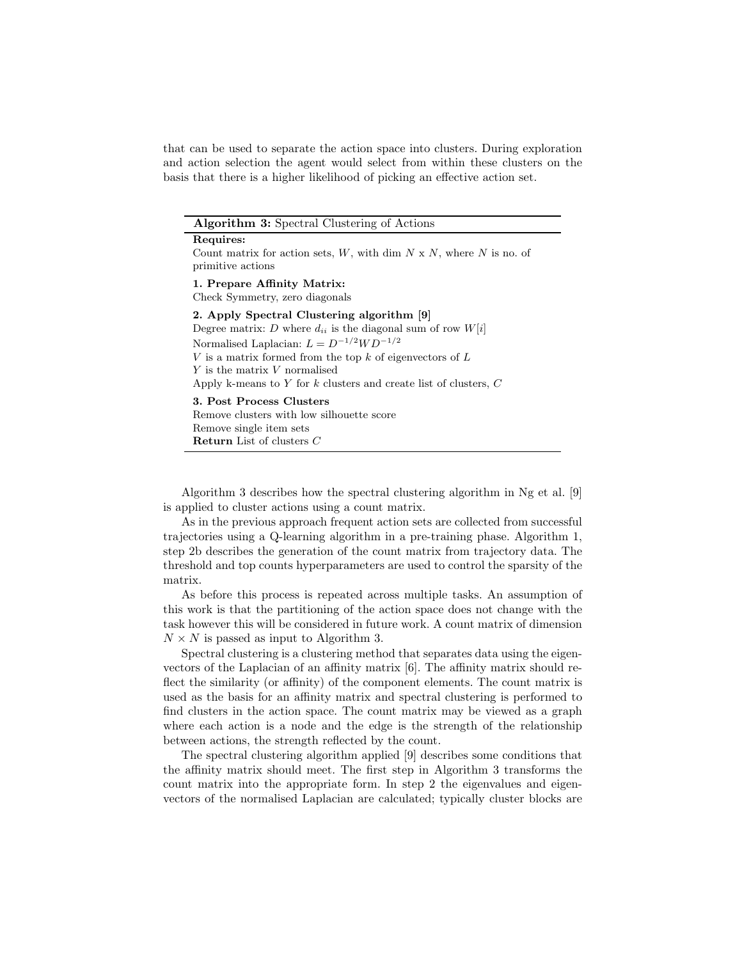that can be used to separate the action space into clusters. During exploration and action selection the agent would select from within these clusters on the basis that there is a higher likelihood of picking an effective action set.

| <b>Algorithm 3:</b> Spectral Clustering of Actions                                                                                                                                                                                                                                                                                 |
|------------------------------------------------------------------------------------------------------------------------------------------------------------------------------------------------------------------------------------------------------------------------------------------------------------------------------------|
| Requires:<br>Count matrix for action sets, W, with dim $N \times N$ , where N is no. of<br>primitive actions                                                                                                                                                                                                                       |
| 1. Prepare Affinity Matrix:<br>Check Symmetry, zero diagonals                                                                                                                                                                                                                                                                      |
| 2. Apply Spectral Clustering algorithm [9]<br>Degree matrix: D where $d_{ii}$ is the diagonal sum of row $W[i]$<br>Normalised Laplacian: $L = D^{-1/2}WD^{-1/2}$<br>V is a matrix formed from the top k of eigenvectors of L<br>Y is the matrix V normalised<br>Apply k-means to Y for k clusters and create list of clusters, $C$ |
| 3. Post Process Clusters<br>Remove clusters with low silhouette score<br>Remove single item sets<br><b>Return</b> List of clusters $C$                                                                                                                                                                                             |

Algorithm 3 describes how the spectral clustering algorithm in Ng et al. [9] is applied to cluster actions using a count matrix.

As in the previous approach frequent action sets are collected from successful trajectories using a Q-learning algorithm in a pre-training phase. Algorithm 1, step 2b describes the generation of the count matrix from trajectory data. The threshold and top counts hyperparameters are used to control the sparsity of the matrix.

As before this process is repeated across multiple tasks. An assumption of this work is that the partitioning of the action space does not change with the task however this will be considered in future work. A count matrix of dimension  $N \times N$  is passed as input to Algorithm 3.

Spectral clustering is a clustering method that separates data using the eigenvectors of the Laplacian of an affinity matrix [6]. The affinity matrix should reflect the similarity (or affinity) of the component elements. The count matrix is used as the basis for an affinity matrix and spectral clustering is performed to find clusters in the action space. The count matrix may be viewed as a graph where each action is a node and the edge is the strength of the relationship between actions, the strength reflected by the count.

The spectral clustering algorithm applied [9] describes some conditions that the affinity matrix should meet. The first step in Algorithm 3 transforms the count matrix into the appropriate form. In step 2 the eigenvalues and eigenvectors of the normalised Laplacian are calculated; typically cluster blocks are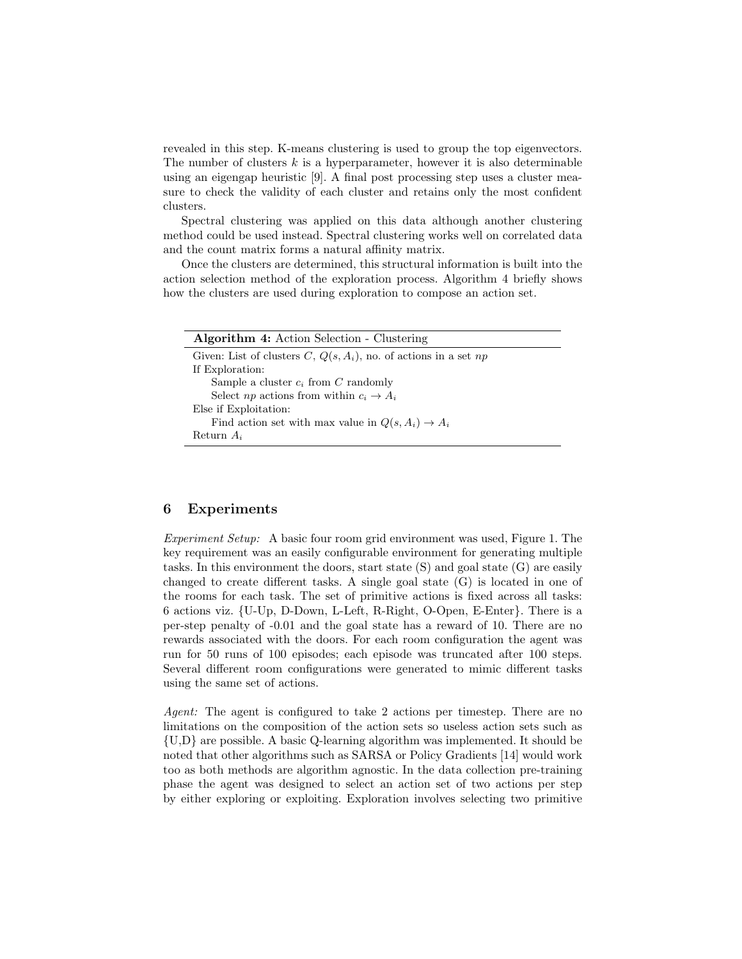revealed in this step. K-means clustering is used to group the top eigenvectors. The number of clusters  $k$  is a hyperparameter, however it is also determinable using an eigengap heuristic [9]. A final post processing step uses a cluster measure to check the validity of each cluster and retains only the most confident clusters.

Spectral clustering was applied on this data although another clustering method could be used instead. Spectral clustering works well on correlated data and the count matrix forms a natural affinity matrix.

Once the clusters are determined, this structural information is built into the action selection method of the exploration process. Algorithm 4 briefly shows how the clusters are used during exploration to compose an action set.

| Algorithm 4: Action Selection - Clustering                          |
|---------------------------------------------------------------------|
| Given: List of clusters C, $Q(s, A_i)$ , no. of actions in a set np |
| If Exploration:                                                     |
| Sample a cluster $c_i$ from C randomly                              |
| Select <i>np</i> actions from within $c_i \rightarrow A_i$          |
| Else if Exploitation:                                               |
| Find action set with max value in $Q(s, A_i) \to A_i$               |
| Return $A_i$                                                        |

#### 6 Experiments

Experiment Setup: A basic four room grid environment was used, Figure 1. The key requirement was an easily configurable environment for generating multiple tasks. In this environment the doors, start state (S) and goal state (G) are easily changed to create different tasks. A single goal state (G) is located in one of the rooms for each task. The set of primitive actions is fixed across all tasks: 6 actions viz. {U-Up, D-Down, L-Left, R-Right, O-Open, E-Enter}. There is a per-step penalty of -0.01 and the goal state has a reward of 10. There are no rewards associated with the doors. For each room configuration the agent was run for 50 runs of 100 episodes; each episode was truncated after 100 steps. Several different room configurations were generated to mimic different tasks using the same set of actions.

Agent: The agent is configured to take 2 actions per timestep. There are no limitations on the composition of the action sets so useless action sets such as {U,D} are possible. A basic Q-learning algorithm was implemented. It should be noted that other algorithms such as SARSA or Policy Gradients [14] would work too as both methods are algorithm agnostic. In the data collection pre-training phase the agent was designed to select an action set of two actions per step by either exploring or exploiting. Exploration involves selecting two primitive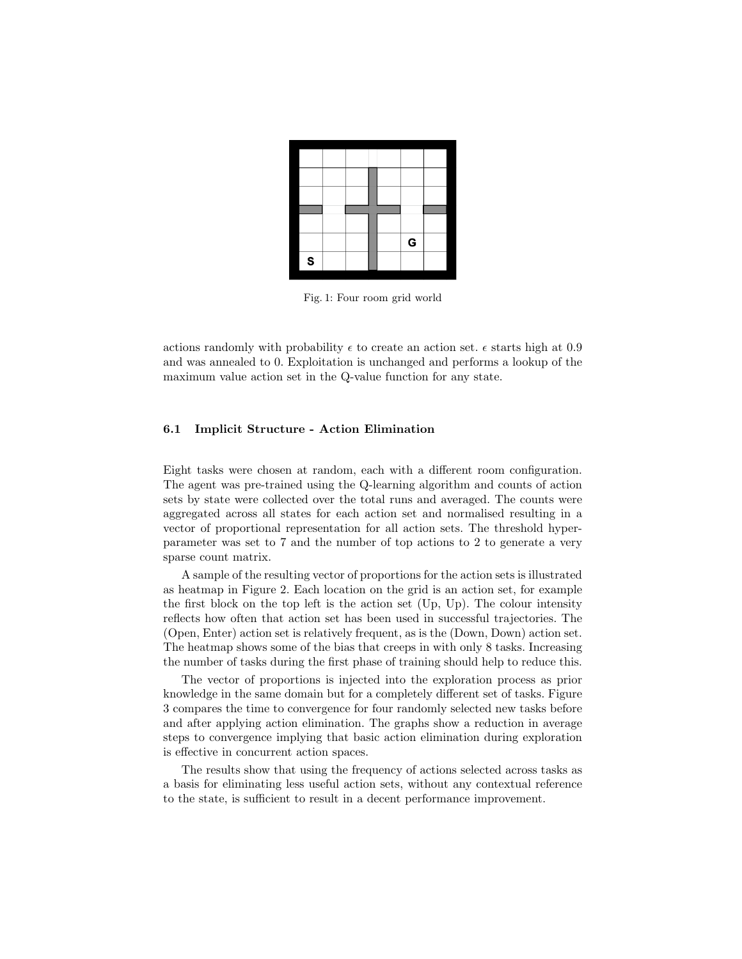

Fig. 1: Four room grid world

actions randomly with probability  $\epsilon$  to create an action set.  $\epsilon$  starts high at 0.9 and was annealed to 0. Exploitation is unchanged and performs a lookup of the maximum value action set in the Q-value function for any state.

#### 6.1 Implicit Structure - Action Elimination

Eight tasks were chosen at random, each with a different room configuration. The agent was pre-trained using the Q-learning algorithm and counts of action sets by state were collected over the total runs and averaged. The counts were aggregated across all states for each action set and normalised resulting in a vector of proportional representation for all action sets. The threshold hyperparameter was set to 7 and the number of top actions to 2 to generate a very sparse count matrix.

A sample of the resulting vector of proportions for the action sets is illustrated as heatmap in Figure 2. Each location on the grid is an action set, for example the first block on the top left is the action set (Up, Up). The colour intensity reflects how often that action set has been used in successful trajectories. The (Open, Enter) action set is relatively frequent, as is the (Down, Down) action set. The heatmap shows some of the bias that creeps in with only 8 tasks. Increasing the number of tasks during the first phase of training should help to reduce this.

The vector of proportions is injected into the exploration process as prior knowledge in the same domain but for a completely different set of tasks. Figure 3 compares the time to convergence for four randomly selected new tasks before and after applying action elimination. The graphs show a reduction in average steps to convergence implying that basic action elimination during exploration is effective in concurrent action spaces.

The results show that using the frequency of actions selected across tasks as a basis for eliminating less useful action sets, without any contextual reference to the state, is sufficient to result in a decent performance improvement.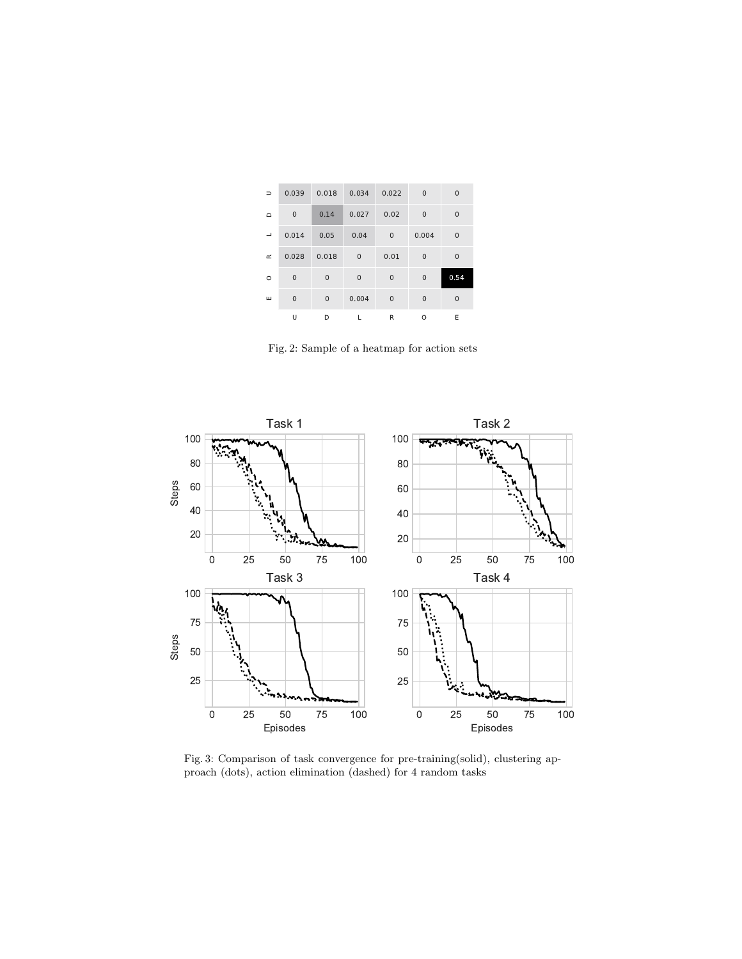| $\supset$                | 0.039       | 0.018       | 0.034       | 0.022        | $\mathbf{0}$ | $\mathbf 0$  |
|--------------------------|-------------|-------------|-------------|--------------|--------------|--------------|
| $\Box$                   | $\mathbf 0$ | 0.14        | 0.027       | 0.02         | $\mathbf{0}$ | 0            |
| $\overline{\phantom{0}}$ | 0.014       | 0.05        | 0.04        | $\mathbf{0}$ | 0.004        | $\mathbf{0}$ |
| $\propto$                | 0.028       | 0.018       | $\mathbf 0$ | 0.01         | $\mathbf 0$  | 0            |
| $\circ$                  | $\mathbf 0$ | $\mathbf 0$ | $\mathbf 0$ | $\mathbf 0$  | $\mathbf 0$  | 0.54         |
| ш                        | $\mathbf 0$ | $\mathbf 0$ | 0.004       | $\mathbf 0$  | $\mathbf 0$  | 0            |
|                          | U           | D           | L           | R            | O            | E            |

Fig. 2: Sample of a heatmap for action sets



Fig. 3: Comparison of task convergence for pre-training(solid), clustering approach (dots), action elimination (dashed) for 4 random tasks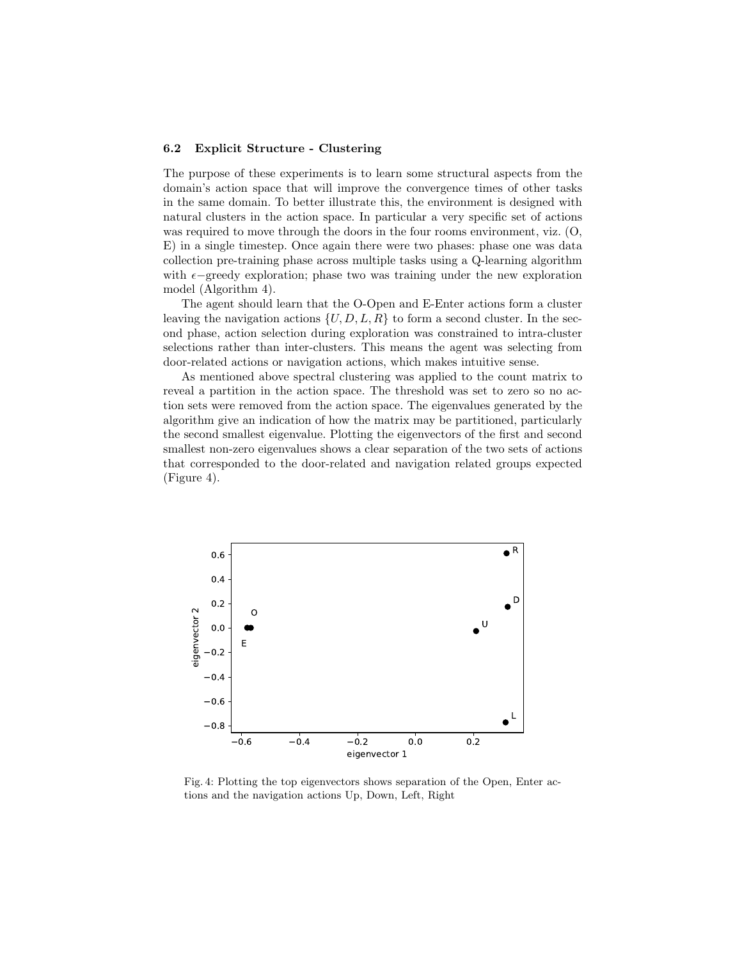#### 6.2 Explicit Structure - Clustering

The purpose of these experiments is to learn some structural aspects from the domain's action space that will improve the convergence times of other tasks in the same domain. To better illustrate this, the environment is designed with natural clusters in the action space. In particular a very specific set of actions was required to move through the doors in the four rooms environment, viz. (O, E) in a single timestep. Once again there were two phases: phase one was data collection pre-training phase across multiple tasks using a Q-learning algorithm with  $\epsilon$ -greedy exploration; phase two was training under the new exploration model (Algorithm 4).

The agent should learn that the O-Open and E-Enter actions form a cluster leaving the navigation actions  $\{U, D, L, R\}$  to form a second cluster. In the second phase, action selection during exploration was constrained to intra-cluster selections rather than inter-clusters. This means the agent was selecting from door-related actions or navigation actions, which makes intuitive sense.

As mentioned above spectral clustering was applied to the count matrix to reveal a partition in the action space. The threshold was set to zero so no action sets were removed from the action space. The eigenvalues generated by the algorithm give an indication of how the matrix may be partitioned, particularly the second smallest eigenvalue. Plotting the eigenvectors of the first and second smallest non-zero eigenvalues shows a clear separation of the two sets of actions that corresponded to the door-related and navigation related groups expected (Figure 4).



Fig. 4: Plotting the top eigenvectors shows separation of the Open, Enter actions and the navigation actions Up, Down, Left, Right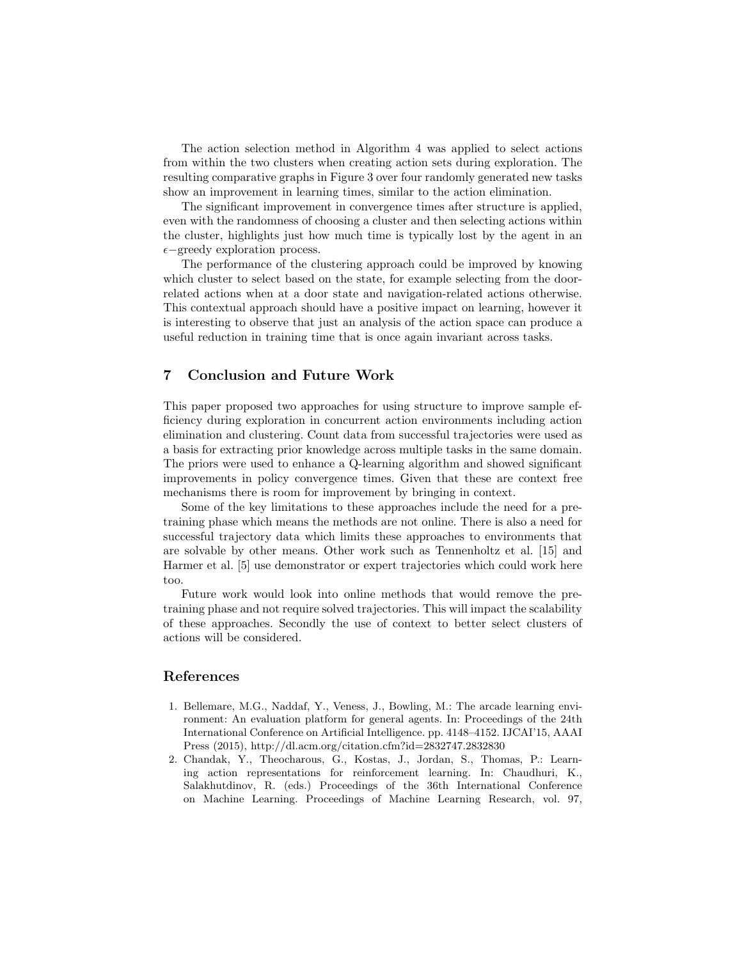The action selection method in Algorithm 4 was applied to select actions from within the two clusters when creating action sets during exploration. The resulting comparative graphs in Figure 3 over four randomly generated new tasks show an improvement in learning times, similar to the action elimination.

The significant improvement in convergence times after structure is applied, even with the randomness of choosing a cluster and then selecting actions within the cluster, highlights just how much time is typically lost by the agent in an  $\epsilon$ −greedy exploration process.

The performance of the clustering approach could be improved by knowing which cluster to select based on the state, for example selecting from the doorrelated actions when at a door state and navigation-related actions otherwise. This contextual approach should have a positive impact on learning, however it is interesting to observe that just an analysis of the action space can produce a useful reduction in training time that is once again invariant across tasks.

## 7 Conclusion and Future Work

This paper proposed two approaches for using structure to improve sample efficiency during exploration in concurrent action environments including action elimination and clustering. Count data from successful trajectories were used as a basis for extracting prior knowledge across multiple tasks in the same domain. The priors were used to enhance a Q-learning algorithm and showed significant improvements in policy convergence times. Given that these are context free mechanisms there is room for improvement by bringing in context.

Some of the key limitations to these approaches include the need for a pretraining phase which means the methods are not online. There is also a need for successful trajectory data which limits these approaches to environments that are solvable by other means. Other work such as Tennenholtz et al. [15] and Harmer et al. [5] use demonstrator or expert trajectories which could work here too.

Future work would look into online methods that would remove the pretraining phase and not require solved trajectories. This will impact the scalability of these approaches. Secondly the use of context to better select clusters of actions will be considered.

### References

- 1. Bellemare, M.G., Naddaf, Y., Veness, J., Bowling, M.: The arcade learning environment: An evaluation platform for general agents. In: Proceedings of the 24th International Conference on Artificial Intelligence. pp. 4148–4152. IJCAI'15, AAAI Press (2015), http://dl.acm.org/citation.cfm?id=2832747.2832830
- 2. Chandak, Y., Theocharous, G., Kostas, J., Jordan, S., Thomas, P.: Learning action representations for reinforcement learning. In: Chaudhuri, K., Salakhutdinov, R. (eds.) Proceedings of the 36th International Conference on Machine Learning. Proceedings of Machine Learning Research, vol. 97,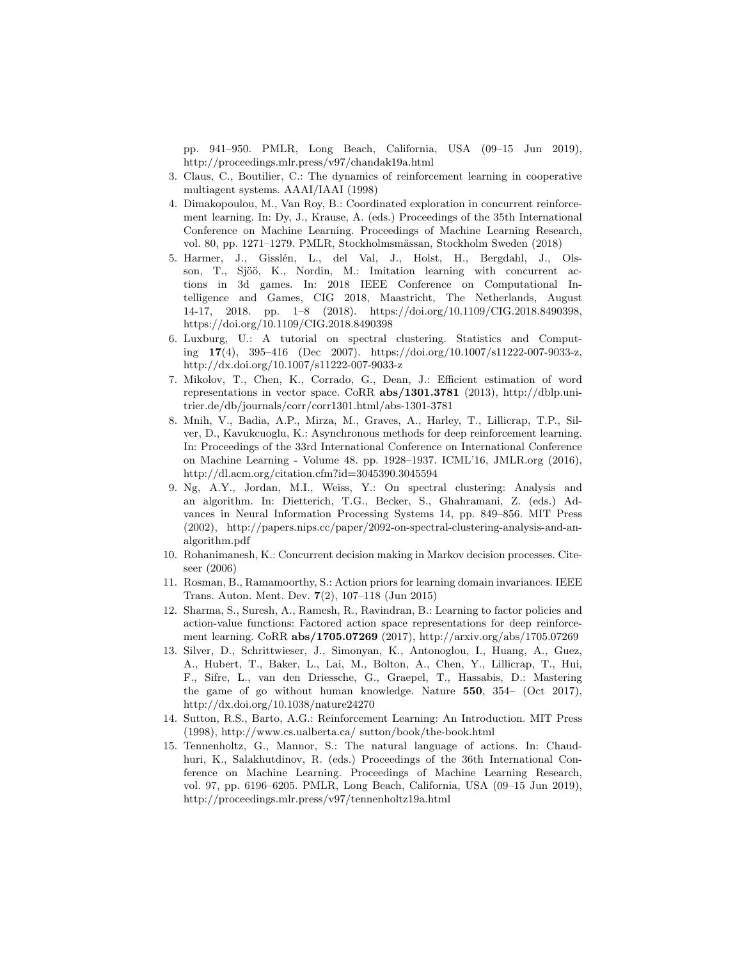pp. 941–950. PMLR, Long Beach, California, USA (09–15 Jun 2019), http://proceedings.mlr.press/v97/chandak19a.html

- 3. Claus, C., Boutilier, C.: The dynamics of reinforcement learning in cooperative multiagent systems. AAAI/IAAI (1998)
- 4. Dimakopoulou, M., Van Roy, B.: Coordinated exploration in concurrent reinforcement learning. In: Dy, J., Krause, A. (eds.) Proceedings of the 35th International Conference on Machine Learning. Proceedings of Machine Learning Research, vol. 80, pp. 1271–1279. PMLR, Stockholmsmässan, Stockholm Sweden (2018)
- 5. Harmer, J., Gisslén, L., del Val, J., Holst, H., Bergdahl, J., Olsson, T., Sjöö, K., Nordin, M.: Imitation learning with concurrent actions in 3d games. In: 2018 IEEE Conference on Computational Intelligence and Games, CIG 2018, Maastricht, The Netherlands, August 14-17, 2018. pp. 1–8 (2018). https://doi.org/10.1109/CIG.2018.8490398, https://doi.org/10.1109/CIG.2018.8490398
- 6. Luxburg, U.: A tutorial on spectral clustering. Statistics and Computing 17(4), 395–416 (Dec 2007). https://doi.org/10.1007/s11222-007-9033-z, http://dx.doi.org/10.1007/s11222-007-9033-z
- 7. Mikolov, T., Chen, K., Corrado, G., Dean, J.: Efficient estimation of word representations in vector space. CoRR abs/1301.3781 (2013), http://dblp.unitrier.de/db/journals/corr/corr1301.html/abs-1301-3781
- 8. Mnih, V., Badia, A.P., Mirza, M., Graves, A., Harley, T., Lillicrap, T.P., Silver, D., Kavukcuoglu, K.: Asynchronous methods for deep reinforcement learning. In: Proceedings of the 33rd International Conference on International Conference on Machine Learning - Volume 48. pp. 1928–1937. ICML'16, JMLR.org (2016), http://dl.acm.org/citation.cfm?id=3045390.3045594
- 9. Ng, A.Y., Jordan, M.I., Weiss, Y.: On spectral clustering: Analysis and an algorithm. In: Dietterich, T.G., Becker, S., Ghahramani, Z. (eds.) Advances in Neural Information Processing Systems 14, pp. 849–856. MIT Press (2002), http://papers.nips.cc/paper/2092-on-spectral-clustering-analysis-and-analgorithm.pdf
- 10. Rohanimanesh, K.: Concurrent decision making in Markov decision processes. Citeseer (2006)
- 11. Rosman, B., Ramamoorthy, S.: Action priors for learning domain invariances. IEEE Trans. Auton. Ment. Dev. 7(2), 107–118 (Jun 2015)
- 12. Sharma, S., Suresh, A., Ramesh, R., Ravindran, B.: Learning to factor policies and action-value functions: Factored action space representations for deep reinforcement learning. CoRR abs/1705.07269 (2017), http://arxiv.org/abs/1705.07269
- 13. Silver, D., Schrittwieser, J., Simonyan, K., Antonoglou, I., Huang, A., Guez, A., Hubert, T., Baker, L., Lai, M., Bolton, A., Chen, Y., Lillicrap, T., Hui, F., Sifre, L., van den Driessche, G., Graepel, T., Hassabis, D.: Mastering the game of go without human knowledge. Nature 550, 354– (Oct 2017), http://dx.doi.org/10.1038/nature24270
- 14. Sutton, R.S., Barto, A.G.: Reinforcement Learning: An Introduction. MIT Press (1998), http://www.cs.ualberta.ca/ sutton/book/the-book.html
- 15. Tennenholtz, G., Mannor, S.: The natural language of actions. In: Chaudhuri, K., Salakhutdinov, R. (eds.) Proceedings of the 36th International Conference on Machine Learning. Proceedings of Machine Learning Research, vol. 97, pp. 6196–6205. PMLR, Long Beach, California, USA (09–15 Jun 2019), http://proceedings.mlr.press/v97/tennenholtz19a.html